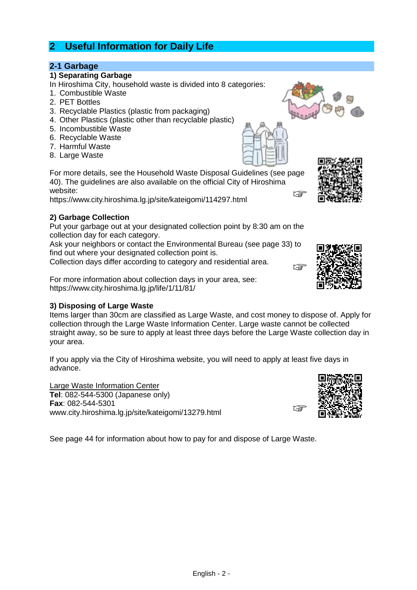# **2 Useful Information for Daily Life**

## **2-1 Garbage**

## **1) Separating Garbage**

- In Hiroshima City, household waste is divided into 8 categories:
- 1. Combustible Waste
- 2. PET Bottles
- 3. Recyclable Plastics (plastic from packaging)
- 4. Other Plastics (plastic other than recyclable plastic)
- 5. Incombustible Waste
- 6. Recyclable Waste
- 7. Harmful Waste
- 8. Large Waste

For more details, see the Household Waste Disposal Guidelines (see page 40). The guidelines are also available on the official City of Hiroshima website: ☞

https://www.city.hiroshima.lg.jp/site/kateigomi/114297.html

## **2) Garbage Collection**

Put your garbage out at your designated collection point by 8:30 am on the collection day for each category.

Ask your neighbors or contact the Environmental Bureau (see page 33) to find out where your designated collection point is.

Collection days differ according to category and residential area.

For more information about collection days in your area, see: https://www.city.hiroshima.lg.jp/life/1/11/81/

## **3) Disposing of Large Waste**

Items larger than 30cm are classified as Large Waste, and cost money to dispose of. Apply for collection through the Large Waste Information Center. Large waste cannot be collected straight away, so be sure to apply at least three days before the Large Waste collection day in your area.

If you apply via the City of Hiroshima website, you will need to apply at least five days in advance.

Large Waste Information Center **Tel**: 082-544-5300 (Japanese only) **Fax**: 082-544-5301 www.city.hiroshima.lg.jp/site/kateigomi/13279.html

See page 44 for information about how to pay for and dispose of Large Waste.









☞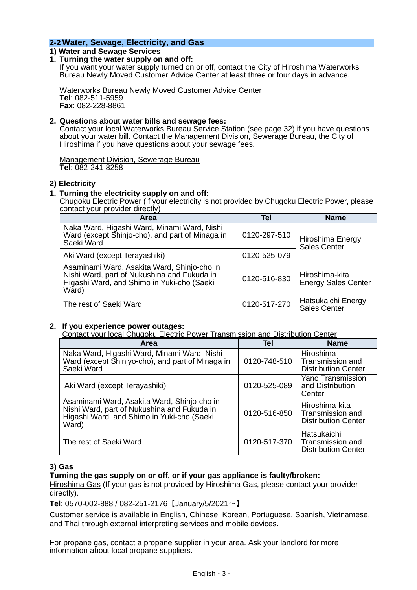## **2-2 Water, Sewage, Electricity, and Gas**

## **1) Water and Sewage Services**

#### **1. Turning the water supply on and off:**

If you want your water supply turned on or off, contact the City of Hiroshima Waterworks Bureau Newly Moved Customer Advice Center at least three or four days in advance.

Waterworks Bureau Newly Moved Customer Advice Center **Tel**: 082-511-5959 **Fax**: 082-228-8861

#### **2. Questions about water bills and sewage fees:**

Contact your local Waterworks Bureau Service Station (see page 32) if you have questions about your water bill. Contact the Management Division, Sewerage Bureau, the City of Hiroshima if you have questions about your sewage fees.

Management Division, Sewerage Bureau **Tel**: 082-241-8258

#### **2) Electricity**

#### **1. Turning the electricity supply on and off:**

Chugoku Electric Power (If your electricity is not provided by Chugoku Electric Power, please contact your provider directly)

| Area                                                                                                                                              | <b>Tel</b>   | <b>Name</b>                                  |
|---------------------------------------------------------------------------------------------------------------------------------------------------|--------------|----------------------------------------------|
| Naka Ward, Higashi Ward, Minami Ward, Nishi<br>Ward (except Shinjo-cho), and part of Minaga in<br>Saeki Ward                                      | 0120-297-510 | Hiroshima Energy<br><b>Sales Center</b>      |
| Aki Ward (except Terayashiki)                                                                                                                     | 0120-525-079 |                                              |
| Asaminami Ward, Asakita Ward, Shinjo-cho in<br>Nishi Ward, part of Nukushina and Fukuda in<br>Higashi Ward, and Shimo in Yuki-cho (Saeki<br>Ward) | 0120-516-830 | Hiroshima-kita<br><b>Energy Sales Center</b> |
| The rest of Saeki Ward                                                                                                                            | 0120-517-270 | Hatsukaichi Energy<br><b>Sales Center</b>    |

#### **2. If you experience power outages:**

Contact your local Chugoku Electric Power Transmission and Distribution Center

| <b>Area</b>                                                                                                                                       | <b>Tel</b>   | <b>Name</b>                                                      |
|---------------------------------------------------------------------------------------------------------------------------------------------------|--------------|------------------------------------------------------------------|
| Naka Ward, Higashi Ward, Minami Ward, Nishi<br>Ward (except Shinjyo-cho), and part of Minaga in<br>Saeki Ward                                     | 0120-748-510 | Hiroshima<br>Transmission and<br><b>Distribution Center</b>      |
| Aki Ward (except Terayashiki)                                                                                                                     | 0120-525-089 | <b>Yano Transmission</b><br>and Distribution<br>Center           |
| Asaminami Ward, Asakita Ward, Shinjo-cho in<br>Nishi Ward, part of Nukushina and Fukuda in<br>Higashi Ward, and Shimo in Yuki-cho (Saeki<br>Ward) | 0120-516-850 | Hiroshima-kita<br>Transmission and<br><b>Distribution Center</b> |
| The rest of Saeki Ward                                                                                                                            | 0120-517-370 | Hatsukaichi<br>Transmission and<br><b>Distribution Center</b>    |

#### **3) Gas**

#### **Turning the gas supply on or off, or if your gas appliance is faulty/broken:**

Hiroshima Gas (If your gas is not provided by Hiroshima Gas, please contact your provider directly).

**Tel**: 0570-002-888 / 082-251-2176【January/5/2021~】

Customer service is available in English, Chinese, Korean, Portuguese, Spanish, Vietnamese, and Thai through external interpreting services and mobile devices.

For propane gas, contact a propane supplier in your area. Ask your landlord for more information about local propane suppliers.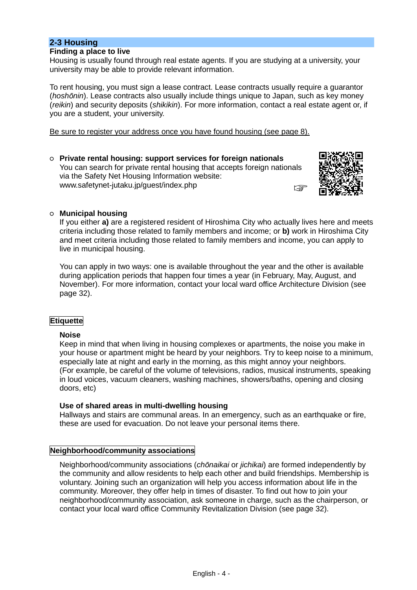## **2-3 Housing**

#### **Finding a place to live**

Housing is usually found through real estate agents. If you are studying at a university, your university may be able to provide relevant information.

To rent housing, you must sign a lease contract. Lease contracts usually require a guarantor (*hoshōnin*). Lease contracts also usually include things unique to Japan, such as key money (*reikin*) and security deposits (*shikikin*). For more information, contact a real estate agent or, if you are a student, your university.

Be sure to register your address once you have found housing (see page 8).

○ **Private rental housing: support services for foreign nationals** You can search for private rental housing that accepts foreign nationals via the Safety Net Housing Information website: www.safetynet-jutaku.jp/guest/index.php ☞



### ○ **Municipal housing**

If you either **a)** are a registered resident of Hiroshima City who actually lives here and meets criteria including those related to family members and income; or **b)** work in Hiroshima City and meet criteria including those related to family members and income, you can apply to live in municipal housing.

You can apply in two ways: one is available throughout the year and the other is available during application periods that happen four times a year (in February, May, August, and November). For more information, contact your local ward office Architecture Division (see page 32).

#### **Etiquette**

#### **Noise**

Keep in mind that when living in housing complexes or apartments, the noise you make in your house or apartment might be heard by your neighbors. Try to keep noise to a minimum, especially late at night and early in the morning, as this might annoy your neighbors. (For example, be careful of the volume of televisions, radios, musical instruments, speaking in loud voices, vacuum cleaners, washing machines, showers/baths, opening and closing doors, etc)

#### **Use of shared areas in multi-dwelling housing**

Hallways and stairs are communal areas. In an emergency, such as an earthquake or fire, these are used for evacuation. Do not leave your personal items there.

### **Neighborhood/community associations**

Neighborhood/community associations (*chōnaikai* or *jichikai*) are formed independently by the community and allow residents to help each other and build friendships. Membership is voluntary. Joining such an organization will help you access information about life in the community. Moreover, they offer help in times of disaster. To find out how to join your neighborhood/community association, ask someone in charge, such as the chairperson, or contact your local ward office Community Revitalization Division (see page 32).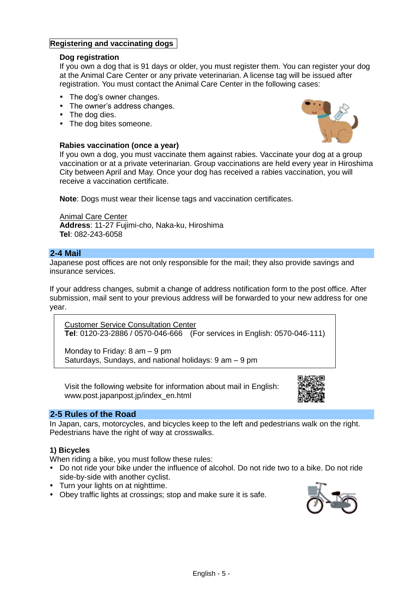## **Registering and vaccinating dogs**

### **Dog registration**

If you own a dog that is 91 days or older, you must register them. You can register your dog at the Animal Care Center or any private veterinarian. A license tag will be issued after registration. You must contact the Animal Care Center in the following cases:

- The dog's owner changes.
- The owner's address changes.
- The dog dies.
- The dog bites someone.

#### **Rabies vaccination (once a year)**



If you own a dog, you must vaccinate them against rabies. Vaccinate your dog at a group vaccination or at a private veterinarian. Group vaccinations are held every year in Hiroshima City between April and May. Once your dog has received a rabies vaccination, you will receive a vaccination certificate.

**Note**: Dogs must wear their license tags and vaccination certificates.

#### **Animal Care Center**

**Address**: 11-27 Fujimi-cho, Naka-ku, Hiroshima **Tel**: 082-243-6058

### **2-4 Mail**

Japanese post offices are not only responsible for the mail; they also provide savings and insurance services.

If your address changes, submit a change of address notification form to the post office. After submission, mail sent to your previous address will be forwarded to your new address for one year.

Customer Service Consultation Center **Tel**: 0120-23-2886 / 0570-046-666 (For services in English: 0570-046-111)

Monday to Friday: 8 am – 9 pm Saturdays, Sundays, and national holidays: 9 am – 9 pm

Visit the following website for information about mail in English: www.post.japanpost.jp/index\_en.html



### **2-5 Rules of the Road**

In Japan, cars, motorcycles, and bicycles keep to the left and pedestrians walk on the right. Pedestrians have the right of way at crosswalks.

### **1) Bicycles**

When riding a bike, you must follow these rules:

- Do not ride your bike under the influence of alcohol. Do not ride two to a bike. Do not ride side-by-side with another cyclist.
- Turn your lights on at nighttime.
- Obey traffic lights at crossings; stop and make sure it is safe.